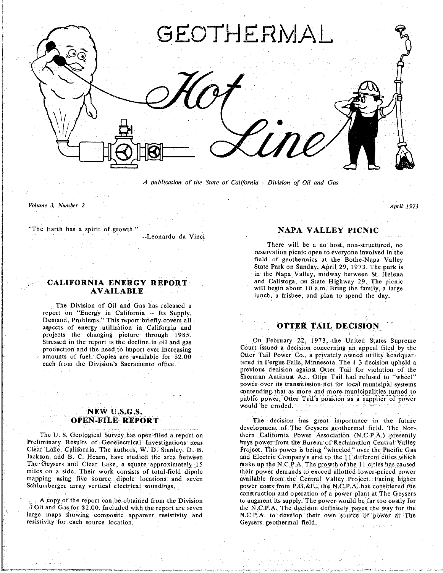

*A publication of the State of California* **-** *Division of Oil and Gas*

*Volume 3, Number 2 April 1973*

"The Earth has a spirit of growth."

The Division of Oi**l** and Ga**s** ha**s rele**ased a **Demand** Problems<sup>3</sup> This report briefly covers<sup>2</sup> aspects of energy utilization in California and projects the changing picture through 1985. Stressed in the report is the decline in oil and gas

# NEW U.S.G.S.<br>**OPEN-FILE REPORT**

Preliminar**y** Results of Geoelectrical **I**nvestigations near buys power from the B*u***r**eau of Reclamation *C*entral Valley Iackson and B. C. Hearn have studied the area between and Electric Company's grid to the 11 different cities which Jackson, and B. C. Hearn, have studied the area between and Electric Company's grid to the 11 different cities which<br>The Geysers and Clear Lake, a square approximately 15 make up the N.C.P.A. The growth of the 11 cities ha miles on a side. Their work consists of total-field dipole their power demands to exceed allotted lower-priced power mapping using five source dipole locations and seven available from the Central-Valley Project. Facing higher

large maps showing composite apparent resistivity and M.C.P.A. to develop their own source of power at The resistivity for each source location. The *N*,C.P.A. to deverage othermal field. resistivity for each source locati**o**n. Geysers geothermal field.

# "The Earth has a sptrit of gr**o**wth NA**PA V**ALL**E**Y **P**I**CN**I**C** -**-**Leonardo da Vinci

There will be a no host, non-structured, no<br>reservation picnic open to everyone involved in the field of geothermics at the Bothe-Napa Valley State Park on Sunday, April 29, 1973. The park is in the Napa Valley, midway between St. Helena and Calistoga, on State Highway 29. The picnic **CALIFORNIA ENERGY REPORT** and Calistoga, on State Highway 29. The picnic **AVAILABLE and Caliston**  $\frac{1}{2}$  will begin about 10 a.m. Bring the family, a large lunch, a frisbee, and plan to spend the day. lunch, a f**r**i**s**bee, and plan **t**o **s**pend **t**he da**y.**

# **OTTER TAIL DECISION**

On February 22, 1973, the United States Supreme **c** court issued a decision concerning an appeal filed by the production and the need to import ever increasing amounts of fuel. Copies are available for \$2.00 Otter Tail Power Co., a privately owned utility headquarand from the Division's Sacramento office. the ered in Fergus Falls, Minnesota. The 4-3 decision upheld a package of function of the A property of the Division's Sacramento office. previous decision against Otter Tail for violation of the Sherman Antitrust Act. Otter Tail had refused to "wheel" power over its transmission net for local municipal systems contending that as more and more municipalities turned to public power, Otter Tail's position as a supplier of power public power, O**t**ter Tail'**s** posi**t**ion a**s** a **s**upplier of power would be e**r**oded.

The decision has great importance in the future development of The Geysers geothermal field. The Northern California Power Association (N.C.P.A.) presently The U. S. Geo**l**ogical Surve**y** has open**-**fi**l**ed a repo**r**t on them *C*alifo**r**nia Powe**r** As**s**ociation (N.*C*.P.A.) presen**t**l**y** Schlumberger array vertical electrical soundings. The source of the **prover costs from P.G.&E.**, the N.C.P.A. has considered the construction and operation of a power plant at The Geysers to augment its supply. The power would be far too costly for A copy of the report can be obtained from the Division to augment its supply. The power would be far too costly for the N.C.P.A. The decision definitely paves the way for the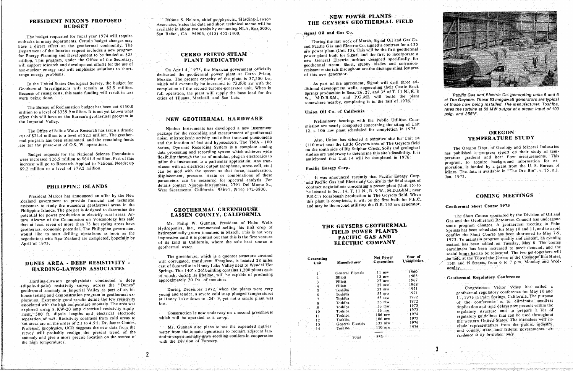The budget requested for fiscal year 1974 will require San Rafael, CA 94903, (415) 452-1400. cutbacks in many departments. Certain budget changes may see that the call requires the fast week of March, Signal Oil and Gas Co, have a direct effect on the geothermal community. The and During the last week of March 20135 have a direct only one and for the Interior request includes a new program<br>
for Energy Planning and Development to be funded at \$25<br> **CERRO PRIETO STEAM**<br> **CERRO PRIETO STEAM** For Energy Planning and Development to be funded at \$25 **CERRO PRIETO STEAM** million. This program, under the Office of the Secretary, **PLANT DEDICATION** million. This program, under the Office of the Secretary,<br>
will support research and development efforts for the use of<br> **PLANT DEDICATION**<br> **PLANT DEDICATION** non-nuclear energy and will emphasize solutions to short-<br>On April 4, 1973, the Mexican government officially

work being done. The cities of rijuana, Mexicali, and San Luis. W., M.D.B.&M., and P.G.&E. will build the plant

The Bureau of Reclamation budget has been cut \$150.8 **of** *those now believer* **of** *those now being* **or** *inster town**vhat rates the turbine* **on** *inster the turbine* **on** *instert in the furbine* **on** *is say*. effect this will have on the Bureau's geothermal program in NEW GEOTHERMAL HARDWARE the Imperial Valley. The Bureau's geothermal program in  $\mathbf{F}$  and  $\mathbf{F}$  and  $\mathbf{F}$  and  $\mathbf{F}$  and  $\mathbf{F}$  are  $\mathbf{F}$  and  $\mathbf{F}$  and  $\mathbf{F}$  are  $\mathbf{F}$  and  $\mathbf{F}$  and  $\mathbf{F}$  are  $\mathbf{F}$  and  $\mathbf{F}$  a

Budget requests for the National Science Foundation<br>were increased \$26.5 million to \$641.5 million. Part of this flexibility through the use of modular, plug-in electronics to<br>tailor the instrument to a particular applicat example to the mercassed with the instrument of a particular application. Any transfer and the completed that Unit 14 with the completed in the completed in the second interest and heat the measurements, the instrument of

assistance to study the numerous geothermal areas in the assistance to study the numerous geothermal areas in the **SEOTHERMAL GREENHOUSE** and may be the second utilizing the G.E. 135 mw generator. Geothermal Short Course 1973<br>Philippine Islands. The project is designed to determ potential for power production to electrify rural areas. Ar-<br> **LASSEN COUNTY, CALIFORNIA** potential for power production to electrify rural areas. Ar-<br>
turo Alcaraz of the Commission on Volcanology has said<br>
that at least seven of more than 73 hot spring areas have Mr. Philip W. Gutman, President of Hobo Wells<br> that at least seven of more than 73 hot spring areas have that at least seven of more than 73 hot spring areas have Mr. Philippine government Mydroponics, Inc., commenced selling his first crop of geothermal economic potential. The Philippine government Hydroponics, Inc., commenc negotiations with New Zealand are completed, hopefully by impressive until it is pointed out that this is the first venture

Harding-Lawson geophysicists conducted a deep (dipole-dipole) resistivity survey across the "Dunes" geothermal anomaly in Imperial Valley as part of an in-<br> **During December 1972**, when the plants were very geothermal anomaly in imperial values as part of an interval and tender, a severe cold snap plunged temperatures<br>house testing and demonstration program in geothermal ex-<br>house testing and demonstration program in geotherm house testing and demonstration provides the low resistivity at Honey Lake down to -24° F, yet not a single plant was a severe collection of the conference is to eliminate needless of the conference is to eliminate needles associated with the high temperature anomaly. The area was lost.<br>
associated with the high temperature anomaly. The area was lost.<br>
associated with the conterence is to enfine the conterence is to enfine the conterence is explored using 8 KW-20 amp electrical resistivity equip-<br>ment 500 ft dinole lengths and electrical electrode Construction is now underway on a second greenhouse 10 Toshiba 1973 communication and to prepare a set of experiment, 500 ft. dipole lengths and electrical electrode Construction is now underway on a second greenhouse 10 10 10 1974 resultatory structure and to prepare and time delays on the construction is now underway on a se meation of n=5. Resistivity contrasts from cold areas to which will be operated as a co-op.<br>
The meature of the western United States. The attendees will in-<br>
The western United States. The attendees will inseparation of networks from cold areas are on the order of 2:1 to 4.5:1. Dr. James Combs,<br>Professor geophysics, UCR suggests the new data from the Mr. Gutman also plans to use the expended nutrier and the can be the speed Professor, geophysics, UCR suggests the new data from the Mr. Gutman also plans to use the expended nutrier 110 mw 1976 the clude representatives from the public, industry, the combined of the Mr. Gutman also plans to use Professor, geophysics. The new data from the measured and to experimentally grow seedling coniters in cooperation<br>and man also plane a more precise location on the source of and to experimentally grow seedling coniters in anomaly and give a more precise location on the source of anomaly and give a more precise location on the source of an*a*V**t**o experimentally grow seedling conifers \_n cooperation Total 853 *rendance is by invitation only*. the high temperatures, with the Division of Forestry.

**PRESIDENT NIXON'S PROPOSED**<br>**BUDGET** *S. Nelson, chief geophysicist, Harding-Lawson*<br>**BUDGET** *Associates, states the data and short technical memo will be* **A**ssociately in about two weeks by contacting HLA, Box 3030,

range energy problems. The Mexican government of the Mexican government of the Mexican government of this new generator. Mexico. The present capacity of the plant is 37,500 kw,<br>which will eventually be increased to 75,000 kw with the<br>As part of the agreement. Signal will drill three adwhich will eventually be increased to  $75,000$  kw with the In the United States Geological Survey, the budget for which will eventually be increased to 75,000 kw with the<br>Geothermal Investigations will remain at \$2.5 million. completion of the second turbine-generator unit. When i Because of rising costs, this same funding will result in less full operation, the plant will supply the base load for the

The Office of Saline Water Research has taken a drastic Nimbus Instruments has developed a new instrument of geothermal<br>
cut of \$24.4 million to a level of \$2.5 million. The geother-<br>
mal program has been eliminated, and t mal program has been eliminated, and the remaining funds noise, microseismic activity and other transient puenomena<br>are for the phase-out of O.S. W. operations.<br>are for the phase-out of O.S. W. operations. are for the phase-out of O.S. W. operations.<br>Series, Dynamic Recording System is a complete analog Budget requests for the National Science Foundation Series, Dynamic Recording System is a complete analog Series, and the south side of Big Sulphur Creek. Soils and geological The Oregon Dept. of Geology and Mineral Indust solution of the state of the call of the system of the system of the system of the system of the system of the system of the system of the system of the system of the system of the system of the system of the system of the can be used with the system so that force, acceleration, displacement, pressure, strain or combinations of these It was announced recently that Pacific Energy Corp. Jan. 1973. parameters can be measured for spectral analysis. For and Pacific Gas and Electricity Co. are in the final stages of details contact Nimbus Instruments, 2791 Del Monte St. and Pacific Gas and Electricity Co. ai, in the final stages **PHILIPPINE ISLANDS** details contact Nimbus Instruments, 2791 Del Monte St.<br>West Sacramento, California 95691, (916) 372-3800.

DUNES AREA - DEEP RESISTIVITY - With corrugated, transition independent of the Valley next to Wendel Hot and Manufacturer Generation Completion Completion (13th and N Streets, Springs. This 140' x 26' building contains 1,200 plants each of which, during its lifetime, will be capable of producing  $\frac{1}{2}$  Blliott  $\frac{1}{13}$  mw  $\frac{1500}{136}$  Geothermal Regulatory Conference approximately 20 lbs. of tomatoes.

**3**

Congressman Victor Vesey has called a  $t$ endance is by invitation only.

*2*

# **NEW POWER PLANTS**<br>THE GEYSERS GEOTHERMAL FIELD

## Signal Oil and Gas Co.

geothermal steam. Short, stubby blades and corrosion-<br>resistant materials throughout are the distinguishing features

w., M.D.B.&M., and P.O.&E. will be did the Coysers. These 53 megawatt generators are typical<br>somewhere nearby, completing it in the fall of 1976.

Nimbus Instruments has developed a new instrument<br>
12 a 106 mw plant scheduled for completion in 1975.

be located in Sec. 14, T. 11 N., R. 9 W., M.D.B.&M., near<br>P.E.C.'s Rorabaugh production in The Geysers field. When President Marcos has announced an offer by the New<br>Zealand government to provide financial and technical<br>assistance to study the numerous geothermal areas in the<br>and may be the second utilizing the G.E. 135 mw generator.

| Generating<br>Unit |                     | Net Power<br>Generation | Year of<br>Completio |
|--------------------|---------------------|-------------------------|----------------------|
|                    | Manufacturer        |                         |                      |
|                    |                     |                         |                      |
|                    | General Electric    | .11 mw.                 | 1960                 |
|                    | Elliott             | $13 \,$ mw.             | 1963                 |
|                    | Elliott             | $27$ mw                 | 1967                 |
|                    | Elliott             | $27$ mw                 | 1968                 |
| 5                  | Toshiba             | :53 mw                  | -1971                |
| 6                  | Toshiba             | 53 mw                   | 1971                 |
|                    | Toshiba             | 53 mw.                  | -1972                |
|                    | Toshiba             | 53 mw                   | 1972                 |
| 8                  | Toshiba             | 53 mw                   | 1973                 |
| 9.                 | Toshiba             | 53 mw.                  | 1973                 |
| 10                 | Toshiba             | $106$ mw                | 1974.                |
|                    |                     | 106 mw                  | 1975                 |
| 12                 | Toshiba             | 135 mw                  | 1976                 |
| 13                 | Electric<br>General |                         | 1976                 |
| 14                 | Toshiba             | 110 mw                  |                      |
|                    |                     | $-853 - -$              | AND THAT ENDING      |
|                    | Total               |                         |                      |



Pacific Gas and Electric Co. generating units 5 and 6 of those now being installed. The manufacturer, Toshiba,<br>rates the turbine at 55 MW output at a steam input of 100

# **OREGON<br>TEMPERATURE STUDY**

would like to start drilling operations as soon as the hydroponically grown tomatoes in March. This is not very<br>negotiations with New Zealand are completed, hopefully by impressive until it is pointed out that this is the of its kind in California, where the sole heat source is<br>April of 1973. Io maintain program quality and content, an evening<br>REECTRIC COMPANY session has been added on Tuesday, May 8. The course Resident and the session has been added on Tuesday, May 8 The solution of the sole heat society is easily in California. When the solution of the solution of the course of the company session has been increased to meet dem The greenhouse, which is a quonset structure covered<br>The greenhouse, which is a quonset structure covered<br>Not Power Year of the Cosmon in the Cosmonollian Hotel. The greenhouse, which is a quonset structure covered Senerating Social hours of the Cosmo in the Cosmopolitan Hotel,<br>
with corrugated, translucent fiberglass, is located 28 miles<br>
Unit Manufacturer Generation Completion (1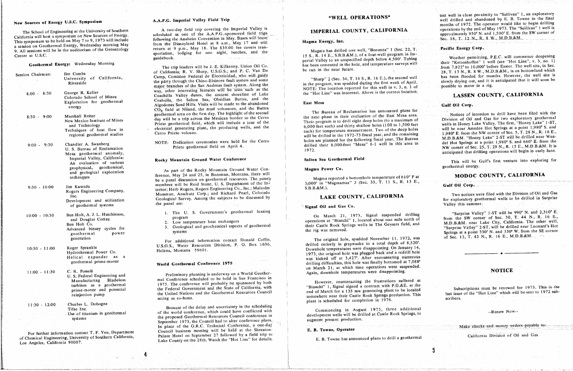# New Sources of Energy U.S.C. Symposium

The School of Engineering at the University of Southern California will host a symposium on New Sources of Energy. This symposium to be held on May 7 to 9, 1973 will include a session on Geothermal Energy, Wednesday morning May 9. All sessions will be in the auditorium of the Gerontology Center at U.S.C.

are distributed Magnitude

|                  | Geothermal Energy: Wednesday Morning                                                                                                                                                                                 |
|------------------|----------------------------------------------------------------------------------------------------------------------------------------------------------------------------------------------------------------------|
| ession Chairman: | <b>Jim Combs</b><br>of California,<br>University<br>Riverside                                                                                                                                                        |
| $8:00 - 8:30$    | George B. Keller<br>Colorado School of Mines<br>Exploration for geothermal<br>energy                                                                                                                                 |
| $8:30 - 9:00$    | Marshall Reiter<br>New Mexico Institute of Mines<br>and Technology<br>Techniques of heat flow in<br>regional geothermal studies                                                                                      |
| $9:00 - 9:30$    | Chandler A. Swanberg<br>U. S. Bureau of Reclamation<br>Mesa geothermal anomaly,<br>Imperial Valley, California:<br>An evaluation of various<br>geophysical, geochemical,<br>and geological exploration<br>techniques |
| $9:30 - 10:00$   | Jim Kuwada<br>Rogers Engineering Company,<br>Inc.<br>Development and utilization<br>of geothermal systems                                                                                                            |
| $10:00 - 10:30$  | Ben Holt, A. J. L. Hutchinson,<br>and Douglas Cortez<br>Ben Holt Co.<br>Advanced binary cycles for<br>power<br>geothermal<br>generation                                                                              |
| $10:30 - 11:00$  | Roger Sprankle<br>Hydrothermal Power Co.<br>Helical expander as<br>a<br>geothermal prime-mover                                                                                                                       |
| $11:00 - 11:30$  | C. R. Possell<br>U.S. Federal Engineering and<br><b>Bladeless</b><br>Manufacturing<br>as a geothermal<br>turbines<br>prime-mover and potential<br>reinjection pump                                                   |
| $11:30 - 12:00$  | Charles L. Dohogne<br>Tifac Inc.<br>Use-of titanium in geothermal<br>systems                                                                                                                                         |

For further information contact T. F. Yen, Department of Chemical Engineering, University of Southern California, Los Angeles, California 90007.

# A.A.P.G. Imperial Valley Field Trip

A two-day field trip covering the Imperial Valley is scheduled as one of the A.A.P.G.-sponsored field trips following the Anaheim Convention in May. Buses will leave from the Disneyland Hotel at 8 a.m., May 17 and will return at 9 p.m., May 18. The \$35.00 fee covers transportation, lodging for one night, lunches, and the guidebook.

The trip leaders will be J. E. Kilkenny, Union Oil Co. of California; R. V. Sharp, U.S.G.S.; and P. C. Van De Camp, Comision Federal de Electricidad, who will guide the party through the Chino-Elsinore fault system and some major branches of the San Andreas fault system. Along the way, other interesting features will be seen such as the Coachilla Valley dunes, the ancient shoreline of Lake Coahuila, the Salton Sea, Obsidian Buttes, and the Algodones Sand Hills. Visits will be made to the abandoned CO<sub>2</sub> field at Niland, the mud volcanoes, and the Buttes geothermal area on the first day. The highlight of the second day will be a trip across the Mexican border to the Cerro Prieto geothermal field, which will include a tour of the electrical generating plant, the producing wells, and the Cerro Prieto volcano.

NOTE: Dedication ceremonies were held for the Cerro Prieto geothermal field on April 4.

## Rocky Mountain Ground Water Conference

As part of the Rocky Mountain Ground Water Conference, May 24 and 25, in Bozeman, Montana, there will be a panel discussion on geothermal resources. The panel members will be Reid Stone, U. S. Department of the Interior; Herb Rogers, Rogers Engineering Co., Inc.; Malcolm Mossman, Anschutz Corp.; and Richard Pearl, Colorado Geological Survey. Among the subjects to be discussed by the panel are:

1. The U. S. Government's geothermal leasing program

- Low temperature heat exchangers
- Geological and geochemical aspects of geothermal 3. systems

For additional information contact Donald Coffin, U.S.G.S., Water Resources Division, P. O. Box 1696, Helena, Montana 59601.

## World Geothermal Conference 1975

Preliminary planning is underway on a World Geothermal Conference scheduled to be held in San Francisco in 1975. The conference will probably be sponsored by both the Federal Government and the State of California, with the United Nations and the Geothermal Resources Council acting as co-hosts.

Because of the delay and uncertainty in the scheduling of the world conference, which could have conflicted with the proposed Geothermal-Resources Council conference in September 1973, the Council had to alter conference plans. In place of the G.R.C. Technical Conference, a one-day Council business meeting will be held at the Sheraton-Palace Hotel on September 27 followed by a field trip to Lake County on the 28th. Watch the "Hot Line" for details.

# \*WELL OPERATIONS\*

# IMPERIAL COUNTY, CALIFORNIA

### Magma Energy, Inc.

Magma has drilled one well, "Bonanza" 1 (Sec. 22, T. 15 S., R. 14 E., S.B.B.&M.), of a four-well program in Imperial Valley to an unspecified depth below 4,500'. Tubing has been cemented in the hole, and temperature surveys will be run in the near future.

"Sharp" 2 (Sec. 34, T. 16 S., R. 16 E.), the second well in the program, was spudded during the first week of April. NOTE: The location reported for this well in v. 3, n. 1 of the "Hot Line" was incorrect. Above is the correct location.

### East Mesa

The Bureau of Reclamation has announced plans for the next phase in their evaluation of the East Mesa area. Their program is to drill eight deep holes (to a maximum of 6,000 feet each) and thirty shallow holes (100 to 1,500 feet each) for temperature measurement. Two of the deep holes will be drilled in the 1972-73 fiscal year, and the remaining holes are planned for the following fiscal year. The Bureau drilled their 8,000-foot "Mesa" 6-1 well in this area in 1972.

## Salton Sea Geothermal Field

### Magma Power Co.

Magma reported a bottomhole temperature of 610°F at 3.000' in "Magmamax" 3 (Sec. 33, T. 11 S., R. 13 E.,  $S.B.B.d.M.).$ 

# LAKE COUNTY, CALIFORNIA

### Signal Oil and Gas Co.

On March 21, 1973, Signal suspended drilling operations at "Bianchi" 1, located about one mile north of their Castle Rock Springs wells in The Geysers field, and the rig was removed.

The original hole, spudded November 11, 1972, was drilled entirely in graywacke to a total depth of 8,520'. Downhole temperatures were disappointing. On January 14, 1973, the original hole was plugged back and a redrill hole was kicked off at 3,427'. After encountering numerous drilling difficulties, this hole was finally bottomed at 7,088' on March 21, at which time operations were suspended. Again, downhole temperatures were disappointing.

However, counteracting the frustrations suffered at "Bianchi" 1, Signal signed a contract with P.G.&E. at the end of March for a 135 mw generating plant to be located somewhere near their Castle Rock Springs production. This plant is scheduled for completion in 1976.

Commencing in August 1973, three additional development wells will be drilled at Castle Rock Springs, to augment present production.

E. B. Towne, Operator

E. B. Towne has announced plans to drill a geothermal

 $\mathbf{5}_{\mathbf{1}}$ 

test well in close proximity to "Sullivan" 1, an exploratory well drilled and abandoned by E. B. Towne in the final months of 1972. The operator would like to begin drilling operations by the end of May 1973. The "Sullivan" 1 well is approximately 950' N. and 1,500' E. from the SW corner of Sec. 18, T. 12 N., R. 8 W., M.D.B.&M.

### Pacific Energy Corp.

Weather permitting, P.E.C. will commence deepening their "Kettenhoffen" 1 well (see "Hot Line", v. 3, no. 1) from 7,822' to 10,000' before Easter. The well site, in Sec. 28, T. 13 N., R. 8 W., M.D.B.&M., is on bottomland which has been flooded for months. However, the well site is slowly drying out, and it is anticipated that it will soon be possible to move in a rig.

# LASSEN COUNTY, CALIFORNIA

### Gulf Oil Corp.

Notices of intention to drill have been filed with the Division of Oil and Gas for two exploratory geothermal wells in Honey Lake Valley. The first, "Honey Lake" 1-ST, will be near Amedee Hot Springs at a point 1,980' S. and 1,980' E. from the NW corner of Sec. 5, T. 28 N., R. 16 E., M.D.B.&M. "Honey Lake" 2-ST will be drilled near Wendel Hot Springs at a point 1,980' S. and 660' E. from the NW corner of Sec. 25, T. 29 N., R. 15 E., M.D.B.&M. It is anticipated that drilling operations will begin in early June.

This will be Gulf's first venture into exploring for geothermal energy.

## MODOC COUNTY, CALIFORNIA

Gulf Oil Corp.

Two notices were filed with the Division of Oil and Gas for exploratory geothermal wells to be drilled in Surprise Valley this summer.

"Surprise Valley" 1-ST will be 990' N. and 2,310' E. from the SW corner of Sec. 30, T. 44 N., R. 16 E., M.D.B.&M. near Lake City, California. The other well, "Surprise Valley" 2-ST, will be drilled near Leonard's Hot Springs at a point 330' N. and 330' W. from the SE corner of Sec. 13, T. 43 N., R. 16 E., M.D.B.&M.

# **NOTICE**

Subscriptions must be renewed for 1973. This is the last issue of the "Hot Line" which will be sent to 1972 subscribers.

--Renew Now--

Make checks and money orders payable to: California Division of Oil and Gas